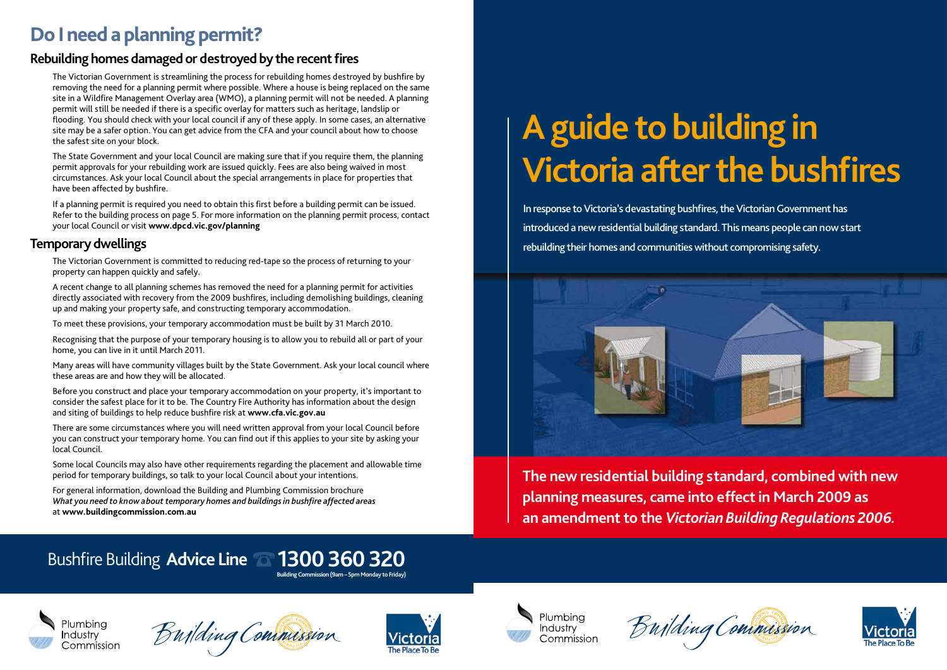

**The new residential building standard, combined with new planning measures, came into effect in March 2009 as an amendment to the** *Victorian Building Regulations 2006.*







In response to Victoria's devastating bushfires, the Victorian Government has introduced a new residential building standard. This means people can now start rebuilding their homes and communities without compromising safety.



**Building Commission (9am – 5pm Monday to Friday)**

### Plumbina **Industry** Commission

Building Commission



## **Do I need a planning permit?**

### **Rebuilding homes damaged or destroyed by the recent fires**

The Victorian Government is streamlining the process for rebuilding homes destroyed by bushfire by removing the need for a planning permit where possible. Where a house is being replaced on the same site in a Wildfire Management Overlay area (WMO), a planning permit will not be needed. A planning permit will still be needed if there is a specific overlay for matters such as heritage, landslip or flooding. You should check with your local council if any of these apply. In some cases, an alternative site may be a safer option. You can get advice from the CFA and your council about how to choose the safest site on your block.

The State Government and your local Council are making sure that if you require them, the planning permit approvals for your rebuilding work are issued quickly. Fees are also being waived in most circumstances. Ask your local Council about the special arrangements in place for properties that have been affected by bushfire.

If a planning permit is required you need to obtain this first before a building permit can be issued. Refer to the building process on page 5. For more information on the planning permit process, contact your local Council or visit **www.dpcd.vic.gov/planning**

### **Temporary dwellings**

The Victorian Government is committed to reducing red-tape so the process of returning to your property can happen quickly and safely.

A recent change to all planning schemes has removed the need for a planning permit for activities directly associated with recovery from the 2009 bushfires, including demolishing buildings, cleaning up and making your property safe, and constructing temporary accommodation.

To meet these provisions, your temporary accommodation must be built by 31 March 2010.

Recognising that the purpose of your temporary housing is to allow you to rebuild all or part of your home, you can live in it until March 2011.

Many areas will have community villages built by the State Government. Ask your local council where these areas are and how they will be allocated.

Before you construct and place your temporary accommodation on your property, it's important to consider the safest place for it to be. The Country Fire Authority has information about the design and siting of buildings to help reduce bushfire risk at **www.cfa.vic.gov.au**

There are some circumstances where you will need written approval from your local Council before you can construct your temporary home. You can find out if this applies to your site by asking your local Council.

Some local Councils may also have other requirements regarding the placement and allowable time period for temporary buildings, so talk to your local Council about your intentions.

For general information, download the Building and Plumbing Commission brochure *What you need to know about temporary homes and buildings in bushfire affected areas* at **www.buildingcommission.com.au**

# Bushfire Building Advice Line **1300 360 320**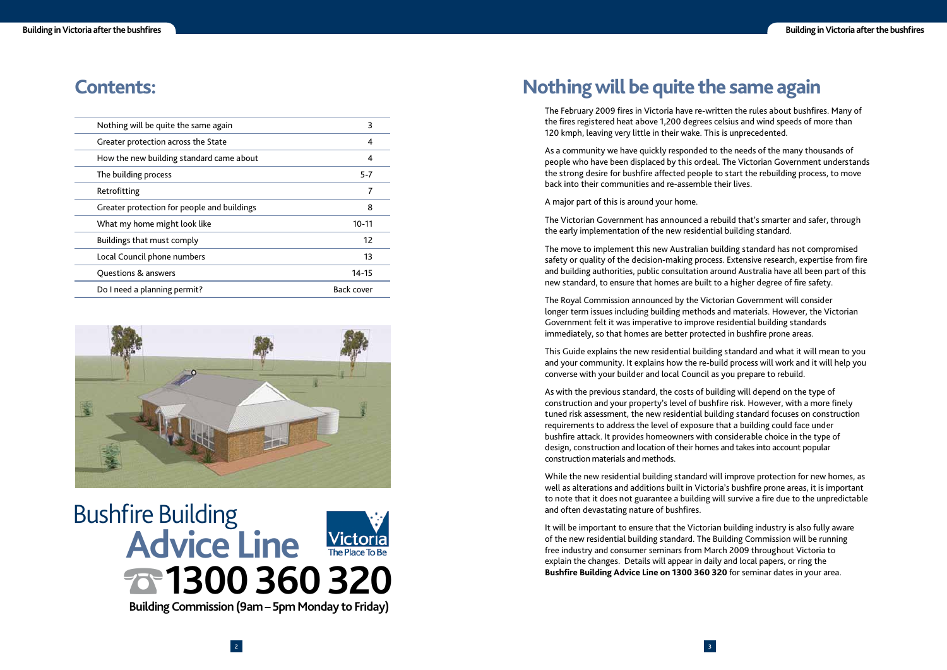### **Contents:**

| Nothing will be quite the same again        | 3                 |
|---------------------------------------------|-------------------|
| Greater protection across the State         | 4                 |
| How the new building standard came about    | 4                 |
| The building process                        | $5 - 7$           |
| Retrofitting                                | 7                 |
| Greater protection for people and buildings | 8                 |
| What my home might look like                | $10 - 11$         |
| Buildings that must comply                  | 12                |
| Local Council phone numbers                 | 13                |
| Questions & answers                         | 14-15             |
| Do I need a planning permit?                | <b>Back cover</b> |



### **Nothing will be quite the same again**

The February 2009 fires in Victoria have re-written the rules about bushfires. Many of the fires registered heat above 1,200 degrees celsius and wind speeds of more than 120 kmph, leaving very little in their wake. This is unprecedented.

As a community we have quickly responded to the needs of the many thousands of people who have been displaced by this ordeal. The Victorian Government understands the strong desire for bushfire affected people to start the rebuilding process, to move back into their communities and re-assemble their lives.

A major part of this is around your home.

The Victorian Government has announced a rebuild that's smarter and safer, through the early implementation of the new residential building standard.

The move to implement this new Australian building standard has not compromised safety or quality of the decision-making process. Extensive research, expertise from fire and building authorities, public consultation around Australia have all been part of this new standard, to ensure that homes are built to a higher degree of fire safety.

The Royal Commission announced by the Victorian Government will consider longer term issues including building methods and materials. However, the Victorian Government felt it was imperative to improve residential building standards immediately, so that homes are better protected in bushfire prone areas.

This Guide explains the new residential building standard and what it will mean to you and your community. It explains how the re-build process will work and it will help you converse with your builder and local Council as you prepare to rebuild.

As with the previous standard, the costs of building will depend on the type of construction and your property's level of bushfire risk. However, with a more finely tuned risk assessment, the new residential building standard focuses on construction requirements to address the level of exposure that a building could face under bushfire attack. It provides homeowners with considerable choice in the type of design, construction and location of their homes and takes into account popular construction materials and methods.

While the new residential building standard will improve protection for new homes, as well as alterations and additions built in Victoria's bushfire prone areas, it is important to note that it does not guarantee a building will survive a fire due to the unpredictable and often devastating nature of bushfires.

It will be important to ensure that the Victorian building industry is also fully aware of the new residential building standard. The Building Commission will be running free industry and consumer seminars from March 2009 throughout Victoria to explain the changes. Details will appear in daily and local papers, or ring the **Bushfire Building Advice Line on 1300 360 320** for seminar dates in your area.

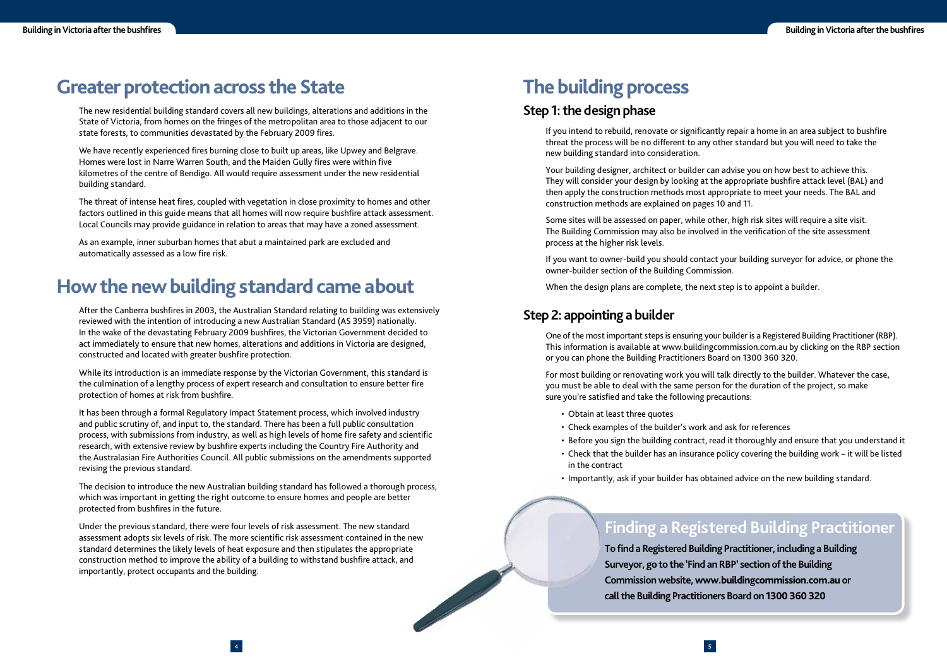4

The new residential building standard covers all new buildings, alterations and additions in the State of Victoria, from homes on the fringes of the metropolitan area to those adjacent to our state forests, to communities devastated by the February 2009 fires.

### **Greater protection across the State**

We have recently experienced fires burning close to built up areas, like Upwey and Belgrave. Homes were lost in Narre Warren South, and the Maiden Gully fires were within five kilometres of the centre of Bendigo. All would require assessment under the new residential building standard.

The threat of intense heat fires, coupled with vegetation in close proximity to homes and other factors outlined in this guide means that all homes will now require bushfire attack assessment. Local Councils may provide guidance in relation to areas that may have a zoned assessment.

As an example, inner suburban homes that abut a maintained park are excluded and automatically assessed as a low fire risk.

While its introduction is an immediate response by the Victorian Government, this standard is the culmination of a lengthy process of expert research and consultation to ensure better fire protection of homes at risk from bushfire.

### **How the new building standard came about**

After the Canberra bushfires in 2003, the Australian Standard relating to building was extensively reviewed with the intention of introducing a new Australian Standard (AS 3959) nationally. In the wake of the devastating February 2009 bushfires, the Victorian Government decided to act immediately to ensure that new homes, alterations and additions in Victoria are designed, constructed and located with greater bushfire protection.

The decision to introduce the new Australian building standard has followed a thorough process, which was important in getting the right outcome to ensure homes and people are better protected from bushfires in the future.

If you intend to rebuild, renovate or significantly repair a home in an area subject to bushfire threat the process will be no different to any other standard but you will need to take the new building standard into consideration.

It has been through a formal Regulatory Impact Statement process, which involved industry and public scrutiny of, and input to, the standard. There has been a full public consultation process, with submissions from industry, as well as high levels of home fire safety and scientific research, with extensive review by bushfire experts including the Country Fire Authority and the Australasian Fire Authorities Council. All public submissions on the amendments supported revising the previous standard.

For most building or renovating work you will talk directly to the builder. Whatever the case, you must be able to deal with the same person for the duration of the project, so make sure you're satisfied and take the following precautions:

> To find a Registered Building Practitioner, including a Building **Surveyor, go to the 'Find an RBP' section of the Building Commission website, www.buildingcommission.com.au or call the Building Practitioners Board on 1300 360 320**

Under the previous standard, there were four levels of risk assessment. The new standard assessment adopts six levels of risk. The more scientific risk assessment contained in the new standard determines the likely levels of heat exposure and then stipulates the appropriate construction method to improve the ability of a building to withstand bushfire attack, and importantly, protect occupants and the building.

### **The building process**

#### **Step 1: the design phase**

Your building designer, architect or builder can advise you on how best to achieve this. They will consider your design by looking at the appropriate bushfire attack level (BAL) and then apply the construction methods most appropriate to meet your needs. The BAL and construction methods are explained on pages 10 and 11.

Some sites will be assessed on paper, while other, high risk sites will require a site visit. The Building Commission may also be involved in the verification of the site assessment process at the higher risk levels.

If you want to owner-build you should contact your building surveyor for advice, or phone the owner-builder section of the Building Commission.

When the design plans are complete, the next step is to appoint a builder.

### **Step 2: appointing a builder**

One of the most important steps is ensuring your builder is a Registered Building Practitioner (RBP). This information is available at www.buildingcommission.com.au by clicking on the RBP section or you can phone the Building Practitioners Board on 1300 360 320.

- Obtain at least three quotes
- Check examples of the builder's work and ask for references
- 
- in the contract
- 

• Before you sign the building contract, read it thoroughly and ensure that you understand it • Check that the builder has an insurance policy covering the building work – it will be listed

### **Finding a Registered Building Practitioner**

• Importantly, ask if your builder has obtained advice on the new building standard.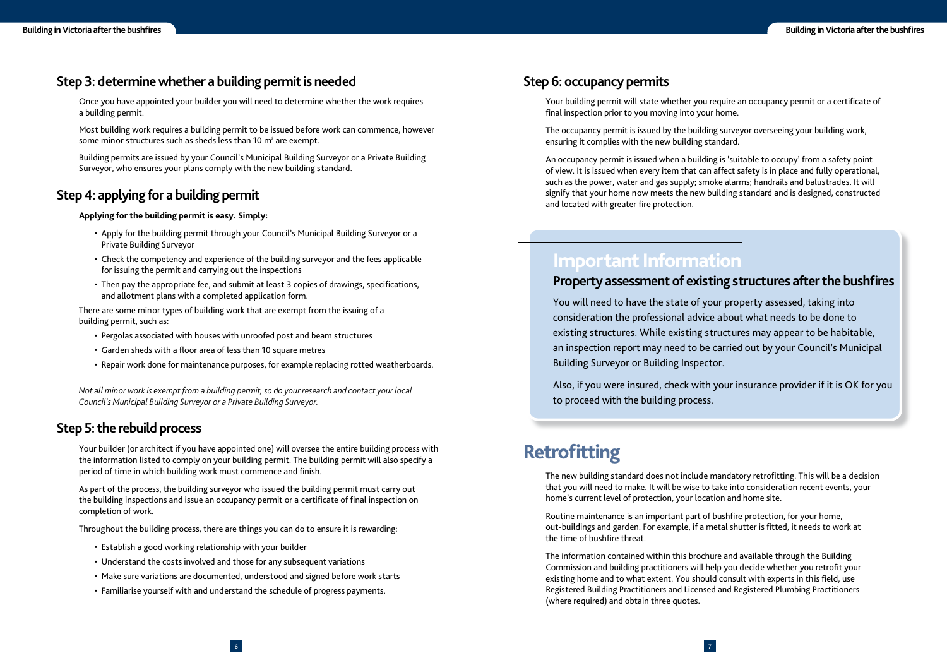### **Step 6: occupancy permits**

Your building permit will state whether you require an occupancy permit or a certificate of final inspection prior to you moving into your home.

An occupancy permit is issued when a building is 'suitable to occupy' from a safety point of view. It is issued when every item that can affect safety is in place and fully operational, such as the power, water and gas supply; smoke alarms; handrails and balustrades. It will signify that your home now meets the new building standard and is designed, constructed and located with greater fire protection.

The occupancy permit is issued by the building surveyor overseeing your building work, ensuring it complies with the new building standard.

The new building standard does not include mandatory retrofitting. This will be a decision that you will need to make. It will be wise to take into consideration recent events, your home's current level of protection, your location and home site.

Routine maintenance is an important part of bushfire protection, for your home, out-buildings and garden. For example, if a metal shutter is fitted, it needs to work at the time of bushfire threat.

Most building work requires a building permit to be issued before work can commence, however some minor structures such as sheds less than 10  $m^2$  are exempt.

> The information contained within this brochure and available through the Building Commission and building practitioners will help you decide whether you retrofit your existing home and to what extent. You should consult with experts in this field, use Registered Building Practitioners and Licensed and Registered Plumbing Practitioners (where required) and obtain three quotes.

Your builder (or architect if you have appointed one) will oversee the entire building process with the information listed to comply on your building permit. The building permit will also specify a period of time in which building work must commence and finish.

### **Step 3: determine whether a building permit is needed**

Once you have appointed your builder you will need to determine whether the work requires a building permit.

Building permits are issued by your Council's Municipal Building Surveyor or a Private Building Surveyor, who ensures your plans comply with the new building standard.

### **Step 4: applying for a building permit**

#### **Applying for the building permit is easy. Simply:**

- Apply for the building permit through your Council's Municipal Building Surveyor or a Private Building Surveyor
- Check the competency and experience of the building surveyor and the fees applicable for issuing the permit and carrying out the inspections
- Then pay the appropriate fee, and submit at least 3 copies of drawings, specifications, and allotment plans with a completed application form.

There are some minor types of building work that are exempt from the issuing of a building permit, such as:

- Pergolas associated with houses with unroofed post and beam structures
- Garden sheds with a floor area of less than 10 square metres
- Repair work done for maintenance purposes, for example replacing rotted weatherboards.

*Not all minor work is exempt from a building permit, so do your research and contact your local Council's Municipal Building Surveyor or a Private Building Surveyor.*

### **Step 5: the rebuild process**

As part of the process, the building surveyor who issued the building permit must carry out the building inspections and issue an occupancy permit or a certificate of final inspection on completion of work.

Throughout the building process, there are things you can do to ensure it is rewarding:

- Establish a good working relationship with your builder
- Understand the costs involved and those for any subsequent variations
- Make sure variations are documented, understood and signed before work starts
- Familiarise yourself with and understand the schedule of progress payments.

### **Important Information**

### Property assessment of existing structures after the bushfires

You will need to have the state of your property assessed, taking into consideration the professional advice about what needs to be done to existing structures. While existing structures may appear to be habitable, an inspection report may need to be carried out by your Council's Municipal Building Surveyor or Building Inspector.

Also, if you were insured, check with your insurance provider if it is OK for you to proceed with the building process.

### **Retrofitting**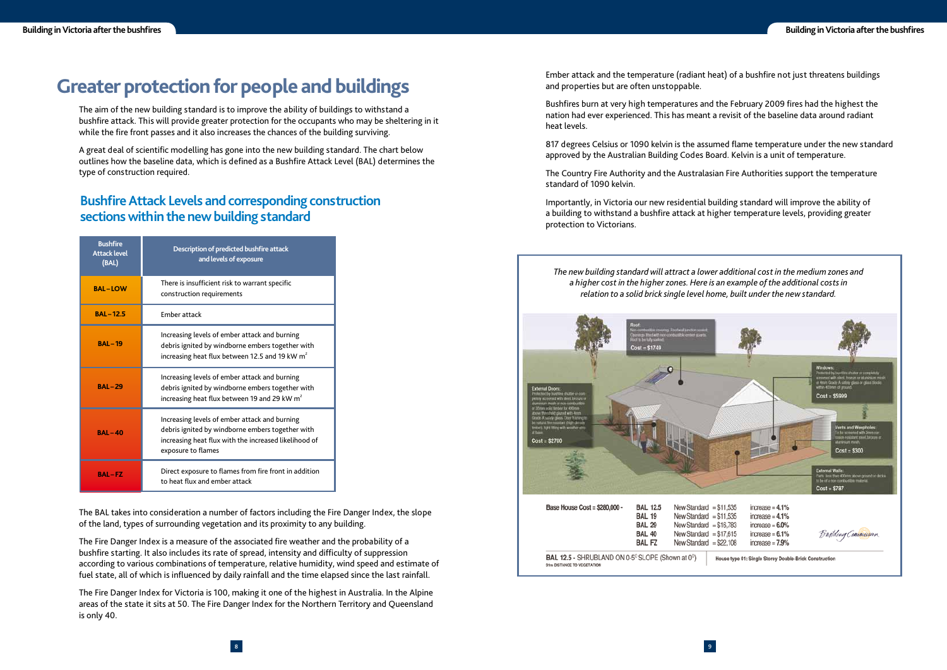Ember attack and the temperature (radiant heat) of a bushfire not just threatens buildings and properties but are often unstoppable.

Bushfires burn at very high temperatures and the February 2009 fires had the highest the nation had ever experienced. This has meant a revisit of the baseline data around radiant heat levels.

817 degrees Celsius or 1090 kelvin is the assumed flame temperature under the new standard approved by the Australian Building Codes Board. Kelvin is a unit of temperature.

The Country Fire Authority and the Australasian Fire Authorities support the temperature standard of 1090 kelvin.

Importantly, in Victoria our new residential building standard will improve the ability of a building to withstand a bushfire attack at higher temperature levels, providing greater protection to Victorians.

### **Greater protection for people and buildings**

The aim of the new building standard is to improve the ability of buildings to withstand a bushfire attack. This will provide greater protection for the occupants who may be sheltering in it while the fire front passes and it also increases the chances of the building surviving.

A great deal of scientific modelling has gone into the new building standard. The chart below outlines how the baseline data, which is defined as a Bushfire Attack Level (BAL) determines the type of construction required.

The BAL takes into consideration a number of factors including the Fire Danger Index, the slope of the land, types of surrounding vegetation and its proximity to any building.

The Fire Danger Index is a measure of the associated fire weather and the probability of a bushfire starting. It also includes its rate of spread, intensity and difficulty of suppression according to various combinations of temperature, relative humidity, wind speed and estimate of fuel state, all of which is influenced by daily rainfall and the time elapsed since the last rainfall.

The Fire Danger Index for Victoria is 100, making it one of the highest in Australia. In the Alpine areas of the state it sits at 50. The Fire Danger Index for the Northern Territory and Queensland is only 40.

| <b>Bushfire</b><br><b>Attack level</b><br>(BAL) | Description of predicted bushfire attack<br>and levels of exposure                                                                                                               |
|-------------------------------------------------|----------------------------------------------------------------------------------------------------------------------------------------------------------------------------------|
| <b>BAL-LOW</b>                                  | There is insufficient risk to warrant specific<br>construction requirements                                                                                                      |
| <b>BAL-12.5</b>                                 | <b>Ember attack</b>                                                                                                                                                              |
| <b>BAL-19</b>                                   | Increasing levels of ember attack and burning<br>debris ignited by windborne embers together with<br>increasing heat flux between 12.5 and 19 kW $m^2$                           |
| <b>BAL-29</b>                                   | Increasing levels of ember attack and burning<br>debris ignited by windborne embers together with<br>increasing heat flux between 19 and 29 kW $m^2$                             |
| <b>BAL-40</b>                                   | Increasing levels of ember attack and burning<br>debris ignited by windborne embers together with<br>increasing heat flux with the increased likelihood of<br>exposure to flames |
| <b>BAL-FZ</b>                                   | Direct exposure to flames from fire front in addition<br>to heat flux and ember attack                                                                                           |

### **Bushfire Attack Levels and corresponding construction sections within the new building standard**

*The new building standard will attract a lower additional cost in the medium zones and a higher cost in the higher zones. Here is an example of the additional costs in relation to a solid brick single level home, built under the new standard.*



31m DISTANCE TO VEGETATION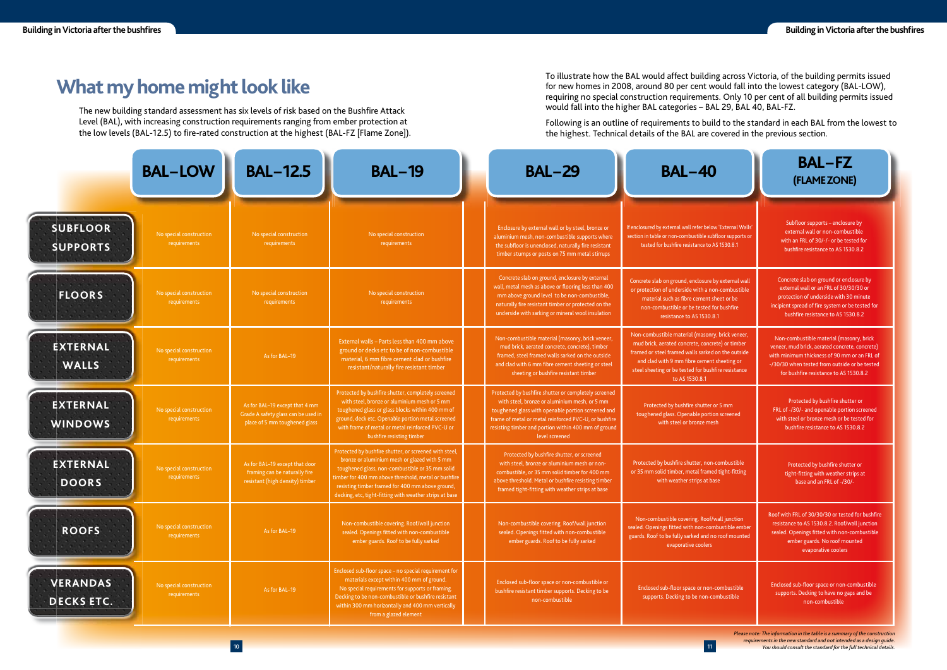To illustrate how the BAL would affect building across Victoria, of the building permits issued for new homes in 2008, around 80 per cent would fall into the lowest category (BAL-LOW), requiring no special construction requirements. Only 10 per cent of all building permits issued would fall into the higher BAL categories – BAL 29, BAL 40, BAL-FZ.

Following is an outline of requirements to build to the standard in each BAL from the lowest to the highest. Technical details of the BAL are covered in the previous section.

> *Please note: The information in the table is a summary of the construction requirements in the new standard and not intended as a design guide. You should consult the standard for the full technical details.*

### **What my home might look like**

The new building standard assessment has six levels of risk based on the Bushfire Attack Level (BAL), with increasing construction requirements ranging from ember protection at the low levels (BAL-12.5) to fire-rated construction at the highest (BAL-FZ [Flame Zone]).

|                                                                                       | <b>BAL-FZ</b><br>(FLAME ZONE)                                                                                                                                                                                                         |
|---------------------------------------------------------------------------------------|---------------------------------------------------------------------------------------------------------------------------------------------------------------------------------------------------------------------------------------|
| v 'External Walls'<br>floor supports or<br>S1530.8.1                                  | Subfloor supports - enclosure by<br>external wall or non-combustible<br>with an FRL of 30/-/- or be tested for<br>bushfire resistance to AS 1530.8.2                                                                                  |
| y external wall<br>n-combustible<br>eet or be<br>or bushfire<br>$\cdot$ 1             | Concrete slab on ground or enclosure by<br>external wall or an FRL of 30/30/30 or<br>protection of underside with 30 minute<br>incipient spread of fire system or be tested for<br>bushfire resistance to AS 1530.8.2                 |
| , brick veneer,<br>ete) or timber<br>on the outside<br>sheeting or<br>fire resistance | Non-combustible material (masonry, brick<br>veneer, mud brick, aerated concrete, concrete)<br>with minimum thickness of 90 mm or an FRL of<br>-/30/30 when tested from outside or be tested<br>for bushfire resistance to AS 1530.8.2 |
| or 5 mm<br>n screened<br>h                                                            | Protected by bushfire shutter or<br>FRL of -/30/- and openable portion screened<br>with steel or bronze mesh or be tested for<br>bushfire resistance to AS 1530.8.2                                                                   |
| combustible<br>d tight-fitting<br>se                                                  | Protected by bushfire shutter or<br>tight-fitting with weather strips at<br>base and an FRL of -/30/-                                                                                                                                 |
| vall junction<br><b>bustible</b> ember<br>roof mounted                                | Roof with FRL of 30/30/30 or tested for bushfire<br>resistance to AS 1530.8.2. Roof/wall junction<br>sealed. Openings fitted with non-combustible<br>ember guards. No roof mounted<br>evaporative coolers                             |
| combustible<br>mbustible                                                              | Enclosed sub-floor space or non-combustible<br>supports. Decking to have no gaps and be<br>non-combustible                                                                                                                            |

|                                      | <b>BAL-LOW</b>                          | <b>BAL-12.5</b>                                                                                        | <b>BAL-19</b>                                                                                                                                                                                                                                                                                                                    | <b>BAL-29</b>                                                                                                                                                                                                                                                                                  | <b>BAL-40</b>                                                                                                                                                                                                                                                                      | <b>BAL-FZ</b><br>(FLAME ZONE)                                                                                                                                                             |
|--------------------------------------|-----------------------------------------|--------------------------------------------------------------------------------------------------------|----------------------------------------------------------------------------------------------------------------------------------------------------------------------------------------------------------------------------------------------------------------------------------------------------------------------------------|------------------------------------------------------------------------------------------------------------------------------------------------------------------------------------------------------------------------------------------------------------------------------------------------|------------------------------------------------------------------------------------------------------------------------------------------------------------------------------------------------------------------------------------------------------------------------------------|-------------------------------------------------------------------------------------------------------------------------------------------------------------------------------------------|
| <b>SUBFLOOR</b><br><b>SUPPORTS</b>   | No special construction<br>requirements | No special construction<br>requirements                                                                | No special construction<br>requirements                                                                                                                                                                                                                                                                                          | Enclosure by external wall or by steel, bronze or<br>aluminium mesh, non-combustible supports where<br>the subfloor is unenclosed, naturally fire resistant<br>timber stumps or posts on 75 mm metal stirrups                                                                                  | If enclosured by external wall refer below 'External Walls'<br>section in table or non-combustible subfloor supports or<br>tested for bushfire resistance to AS 1530.8.1                                                                                                           | Subfloor supports - enclosure<br>external wall or non-combusti<br>with an FRL of 30/-/- or be teste<br>bushfire resistance to AS 1530.                                                    |
| <b>FLOORS</b>                        | No special construction<br>requirements | No special construction<br>requirements                                                                | No special construction<br>requirements                                                                                                                                                                                                                                                                                          | Concrete slab on ground, enclosure by external<br>wall, metal mesh as above or flooring less than 400<br>mm above ground level to be non-combustible,<br>naturally fire resistant timber or protected on the<br>underside with sarking or mineral wool insulation                              | Concrete slab on ground, enclosure by external wall<br>or protection of underside with a non-combustible<br>material such as fibre cement sheet or be<br>non-combustible or be tested for bushfire<br>resistance to AS 1530.8.1                                                    | Concrete slab on ground or enclos<br>external wall or an FRL of 30/30/<br>protection of underside with 30 r<br>incipient spread of fire system or be<br>bushfire resistance to AS 1530.   |
| <b>EXTERNAL</b><br><b>WALLS</b>      | No special construction<br>requirements | As for BAL-19                                                                                          | External walls - Parts less than 400 mm above<br>ground or decks etc to be of non-combustible<br>material, 6 mm fibre cement clad or bushfire<br>resistant/naturally fire resistant timber                                                                                                                                       | Non-combustible material (masonry, brick veneer,<br>mud brick, aerated concrete, concrete), timber<br>framed, steel framed walls sarked on the outside<br>and clad with 6 mm fibre cement sheeting or steel<br>sheeting or bushfire resistant timber                                           | Non-combustible material (masonry, brick veneer,<br>mud brick, aerated concrete, concrete) or timber<br>framed or steel framed walls sarked on the outside<br>and clad with 9 mm fibre cement sheeting or<br>steel sheeting or be tested for bushfire resistance<br>to AS 1530.8.1 | Non-combustible material (mason<br>veneer, mud brick, aerated concrete,<br>with minimum thickness of 90 mm or<br>-/30/30 when tested from outside or<br>for bushfire resistance to AS 153 |
| <b>EXTERNAL</b><br><b>WINDOWS</b>    | No special construction<br>requirements | As for BAL-19 except that 4 mm<br>Grade A safety glass can be used in<br>place of 5 mm toughened glass | Protected by bushfire shutter, completely screened<br>with steel, bronze or aluminium mesh or 5 mm<br>toughened glass or glass blocks within 400 mm of<br>ground, deck etc. Openable portion metal screened<br>with frame of metal or metal reinforced PVC-U or<br>bushfire resisting timber                                     | Protected by bushfire shutter or completely screened<br>with steel, bronze or aluminium mesh, or 5 mm<br>toughened glass with openable portion screened and<br>frame of metal or metal reinforced PVC-U, or bushfire<br>resisting timber and portion within 400 mm of ground<br>level screened | Protected by bushfire shutter or 5 mm<br>toughened glass. Openable portion screened<br>with steel or bronze mesh                                                                                                                                                                   | Protected by bushfire shutter<br>FRL of -/30/- and openable portion<br>with steel or bronze mesh or be te<br>bushfire resistance to AS 1530                                               |
| <b>EXTERNAL</b><br><b>DOORS</b>      | No special construction<br>requirements | As for BAL-19 except that door<br>framing can be naturally fire<br>resistant (high density) timber     | Protected by bushfire shutter, or screened with steel,<br>bronze or aluminium mesh or glazed with 5 mm<br>toughened glass, non-combustible or 35 mm solid<br>timber for 400 mm above threshold, metal or bushfire<br>resisting timber framed for 400 mm above ground,<br>decking, etc, tight-fitting with weather strips at base | Protected by bushfire shutter, or screened<br>with steel, bronze or aluminium mesh or non-<br>combustible, or 35 mm solid timber for 400 mm<br>above threshold. Metal or bushfire resisting timber<br>framed tight-fitting with weather strips at base                                         | Protected by bushfire shutter, non-combustible<br>or 35 mm solid timber, metal framed tight-fitting<br>with weather strips at base                                                                                                                                                 | Protected by bushfire shutter<br>tight-fitting with weather strip<br>base and an FRL of -/30/-                                                                                            |
| <b>ROOFS</b><br><b>CONTRACTOR</b>    | No special construction<br>requirements | As for BAL-19                                                                                          | Non-combustible covering. Roof/wall junction<br>sealed. Openings fitted with non-combustible<br>ember guards. Roof to be fully sarked                                                                                                                                                                                            | Non-combustible covering. Roof/wall junction<br>sealed. Openings fitted with non-combustible<br>ember guards. Roof to be fully sarked                                                                                                                                                          | Non-combustible covering. Roof/wall junction<br>sealed. Openings fitted with non-combustible ember<br>guards. Roof to be fully sarked and no roof mounted<br>evaporative coolers                                                                                                   | Roof with FRL of 30/30/30 or tested f<br>resistance to AS 1530.8.2. Roof/wal<br>sealed. Openings fitted with non-cor<br>ember guards. No roof mount<br>evaporative coolers                |
| <b>VERANDAS</b><br><b>DECKS ETC.</b> | No special construction<br>requirements | As for BAL-19                                                                                          | Enclosed sub-floor space - no special requirement for<br>materials except within 400 mm of ground.<br>No special requirements for supports or framing.<br>Decking to be non-combustible or bushfire resistant<br>within 300 mm horizontally and 400 mm vertically<br>from a glazed element                                       | Enclosed sub-floor space or non-combustible or<br>bushfire resistant timber supports. Decking to be<br>non-combustible                                                                                                                                                                         | Enclosed sub-floor space or non-combustible<br>supports. Decking to be non-combustible                                                                                                                                                                                             | Enclosed sub-floor space or non-con<br>supports. Decking to have no gaps<br>non-combustible                                                                                               |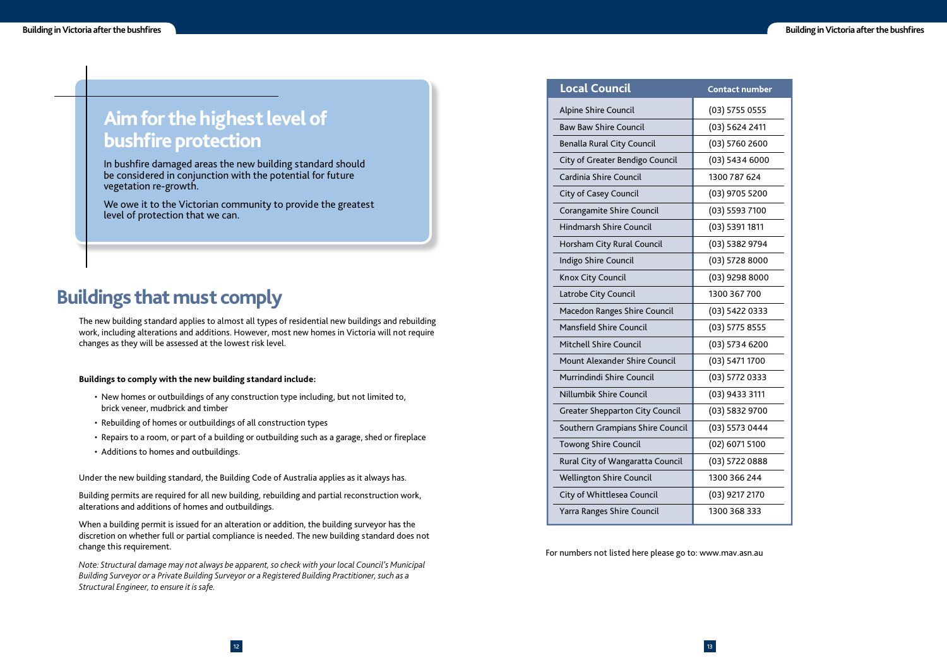#### **ntact number**

| 3) 5755 0555 |
|--------------|
| 3) 5624 2411 |
| 3) 5760 2600 |
| 3) 5434 6000 |
| 00787624     |
| 3) 9705 5200 |
| 3) 5593 7100 |
| 3) 5391 1811 |
| 3) 5382 9794 |
| 3) 5728 8000 |
| 3) 9298 8000 |
| 00 367 700   |
| 3) 5422 0333 |
| 3) 5775 8555 |
| 3) 5734 6200 |
| 3) 5471 1700 |
| 3) 5772 0333 |
| 3) 9433 3111 |
| 3) 5832 9700 |
| 3) 5573 0444 |
| 2) 6071 5100 |
| 3) 5722 0888 |
| 00 366 244   |
| 3) 9217 2170 |
| 00 368 333   |

### **Buildings that must comply**

The new building standard applies to almost all types of residential new buildings and rebuilding work, including alterations and additions. However, most new homes in Victoria will not require changes as they will be assessed at the lowest risk level.

#### **Buildings to comply with the new building standard include:**

- New homes or outbuildings of any construction type including, but not limited to, brick veneer, mudbrick and timber
- Rebuilding of homes or outbuildings of all construction types
- Repairs to a room, or part of a building or outbuilding such as a garage, shed or fireplace
- Additions to homes and outbuildings.

Under the new building standard, the Building Code of Australia applies as it always has.

Building permits are required for all new building, rebuilding and partial reconstruction work, alterations and additions of homes and outbuildings.

When a building permit is issued for an alteration or addition, the building surveyor has the discretion on whether full or partial compliance is needed. The new building standard does not change this requirement.

### **Aim for the highest level of bushfire protection**

*Note: Structural damage may not always be apparent, so check with your local Council's Municipal Building Surveyor or a Private Building Surveyor or a Registered Building Practitioner, such as a Structural Engineer, to ensure it is safe.*

In bushfire damaged areas the new building standard should be considered in conjunction with the potential for future vegetation re-growth.

For numbers not listed here please go to: www.mav.asn.au

| <b>Local Council</b>                   | <b>Contact numbe</b> |
|----------------------------------------|----------------------|
| Alpine Shire Council                   | $(03)$ 5755 0555     |
| <b>Baw Baw Shire Council</b>           | (03) 5624 2411       |
| <b>Benalla Rural City Council</b>      | (03) 5760 2600       |
| City of Greater Bendigo Council        | $(03)$ 5434 6000     |
| Cardinia Shire Council                 | 1300 787 624         |
| <b>City of Casey Council</b>           | (03) 9705 5200       |
| Corangamite Shire Council              | $(03)$ 5593 7100     |
| <b>Hindmarsh Shire Council</b>         | $(03)$ 5391 1811     |
| Horsham City Rural Council             | (03) 5382 9794       |
| Indigo Shire Council                   | $(03)$ 5728 8000     |
| Knox City Council                      | $(03)$ 9298 8000     |
| Latrobe City Council                   | 1300 367 700         |
| Macedon Ranges Shire Council           | (03) 5422 0333       |
| <b>Mansfield Shire Council</b>         | $(03)$ 5775 8555     |
| <b>Mitchell Shire Council</b>          | $(03)$ 5734 6200     |
| <b>Mount Alexander Shire Council</b>   | (03) 5471 1700       |
| Murrindindi Shire Council              | $(03)$ 5772 0333     |
| Nillumbik Shire Council                | $(03)$ 9433 3111     |
| <b>Greater Shepparton City Council</b> | $(03)$ 5832 9700     |
| Southern Grampians Shire Council       | (03) 5573 0444       |
| <b>Towong Shire Council</b>            | $(02)$ 6071 5100     |
| Rural City of Wangaratta Council       | (03) 5722 0888       |
| <b>Wellington Shire Council</b>        | 1300 366 244         |
| City of Whittlesea Council             | (03) 9217 2170       |
| Yarra Ranges Shire Council             | 1300 368 333         |

We owe it to the Victorian community to provide the greatest level of protection that we can.